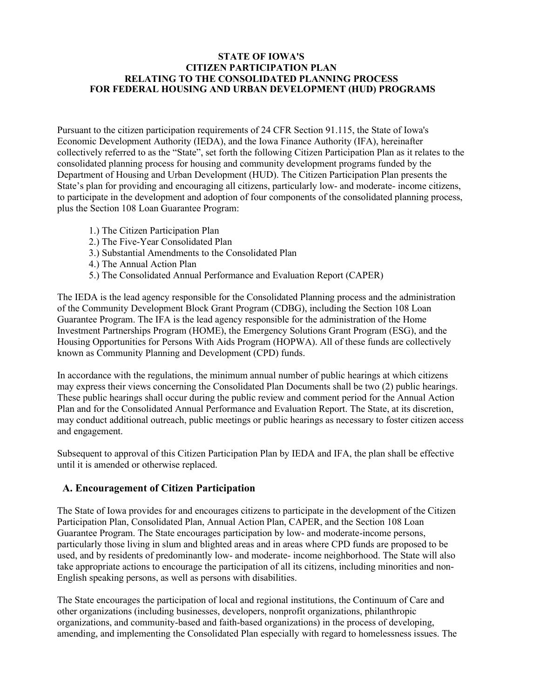#### **STATE OF IOWA'S CITIZEN PARTICIPATION PLAN RELATING TO THE CONSOLIDATED PLANNING PROCESS FOR FEDERAL HOUSING AND URBAN DEVELOPMENT (HUD) PROGRAMS**

Pursuant to the citizen participation requirements of 24 CFR Section 91.115, the State of Iowa's Economic Development Authority (IEDA), and the Iowa Finance Authority (IFA), hereinafter collectively referred to as the "State", set forth the following Citizen Participation Plan as it relates to the consolidated planning process for housing and community development programs funded by the Department of Housing and Urban Development (HUD). The Citizen Participation Plan presents the State's plan for providing and encouraging all citizens, particularly low- and moderate- income citizens, to participate in the development and adoption of four components of the consolidated planning process, plus the Section 108 Loan Guarantee Program:

- 1.) The Citizen Participation Plan
- 2.) The Five-Year Consolidated Plan
- 3.) Substantial Amendments to the Consolidated Plan
- 4.) The Annual Action Plan
- 5.) The Consolidated Annual Performance and Evaluation Report (CAPER)

The IEDA is the lead agency responsible for the Consolidated Planning process and the administration of the Community Development Block Grant Program (CDBG), including the Section 108 Loan Guarantee Program. The IFA is the lead agency responsible for the administration of the Home Investment Partnerships Program (HOME), the Emergency Solutions Grant Program (ESG), and the Housing Opportunities for Persons With Aids Program (HOPWA). All of these funds are collectively known as Community Planning and Development (CPD) funds.

In accordance with the regulations, the minimum annual number of public hearings at which citizens may express their views concerning the Consolidated Plan Documents shall be two (2) public hearings. These public hearings shall occur during the public review and comment period for the Annual Action Plan and for the Consolidated Annual Performance and Evaluation Report. The State, at its discretion, may conduct additional outreach, public meetings or public hearings as necessary to foster citizen access and engagement.

Subsequent to approval of this Citizen Participation Plan by IEDA and IFA, the plan shall be effective until it is amended or otherwise replaced.

#### **A. Encouragement of Citizen Participation**

The State of Iowa provides for and encourages citizens to participate in the development of the Citizen Participation Plan, Consolidated Plan, Annual Action Plan, CAPER, and the Section 108 Loan Guarantee Program. The State encourages participation by low- and moderate-income persons, particularly those living in slum and blighted areas and in areas where CPD funds are proposed to be used, and by residents of predominantly low- and moderate- income neighborhood. The State will also take appropriate actions to encourage the participation of all its citizens, including minorities and non-English speaking persons, as well as persons with disabilities.

The State encourages the participation of local and regional institutions, the Continuum of Care and other organizations (including businesses, developers, nonprofit organizations, philanthropic organizations, and community-based and faith-based organizations) in the process of developing, amending, and implementing the Consolidated Plan especially with regard to homelessness issues. The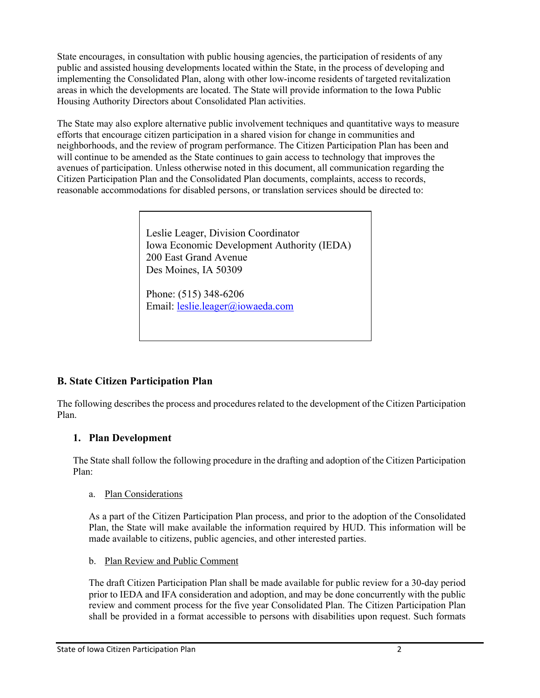State encourages, in consultation with public housing agencies, the participation of residents of any public and assisted housing developments located within the State, in the process of developing and implementing the Consolidated Plan, along with other low-income residents of targeted revitalization areas in which the developments are located. The State will provide information to the Iowa Public Housing Authority Directors about Consolidated Plan activities.

The State may also explore alternative public involvement techniques and quantitative ways to measure efforts that encourage citizen participation in a shared vision for change in communities and neighborhoods, and the review of program performance. The Citizen Participation Plan has been and will continue to be amended as the State continues to gain access to technology that improves the avenues of participation. Unless otherwise noted in this document, all communication regarding the Citizen Participation Plan and the Consolidated Plan documents, complaints, access to records, reasonable accommodations for disabled persons, or translation services should be directed to:

> Leslie Leager, Division Coordinator Iowa Economic Development Authority (IEDA) 200 East Grand Avenue Des Moines, IA 50309

Phone: (515) 348-6206 Email: [leslie.leager@iowaeda.com](mailto:leslie.leager@iowaeda.com)

# **B. State Citizen Participation Plan**

The following describes the process and procedures related to the development of the Citizen Participation Plan.

# **1. Plan Development**

The State shall follow the following procedure in the drafting and adoption of the Citizen Participation Plan:

#### a. Plan Considerations

As a part of the Citizen Participation Plan process, and prior to the adoption of the Consolidated Plan, the State will make available the information required by HUD. This information will be made available to citizens, public agencies, and other interested parties.

b. Plan Review and Public Comment

The draft Citizen Participation Plan shall be made available for public review for a 30-day period prior to IEDA and IFA consideration and adoption, and may be done concurrently with the public review and comment process for the five year Consolidated Plan. The Citizen Participation Plan shall be provided in a format accessible to persons with disabilities upon request. Such formats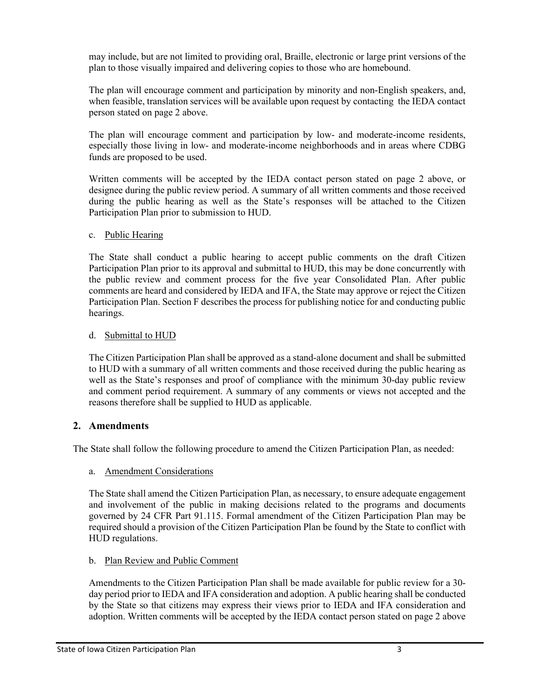may include, but are not limited to providing oral, Braille, electronic or large print versions of the plan to those visually impaired and delivering copies to those who are homebound.

The plan will encourage comment and participation by minority and non-English speakers, and, when feasible, translation services will be available upon request by contacting the IEDA contact person stated on page 2 above.

The plan will encourage comment and participation by low- and moderate-income residents, especially those living in low- and moderate-income neighborhoods and in areas where CDBG funds are proposed to be used.

Written comments will be accepted by the IEDA contact person stated on page 2 above, or designee during the public review period. A summary of all written comments and those received during the public hearing as well as the State's responses will be attached to the Citizen Participation Plan prior to submission to HUD.

#### c. Public Hearing

The State shall conduct a public hearing to accept public comments on the draft Citizen Participation Plan prior to its approval and submittal to HUD, this may be done concurrently with the public review and comment process for the five year Consolidated Plan. After public comments are heard and considered by IEDA and IFA, the State may approve or reject the Citizen Participation Plan. Section F describes the process for publishing notice for and conducting public hearings.

#### d. Submittal to HUD

The Citizen Participation Plan shall be approved as a stand-alone document and shall be submitted to HUD with a summary of all written comments and those received during the public hearing as well as the State's responses and proof of compliance with the minimum 30-day public review and comment period requirement. A summary of any comments or views not accepted and the reasons therefore shall be supplied to HUD as applicable.

## **2. Amendments**

The State shall follow the following procedure to amend the Citizen Participation Plan, as needed:

## a. Amendment Considerations

The State shall amend the Citizen Participation Plan, as necessary, to ensure adequate engagement and involvement of the public in making decisions related to the programs and documents governed by 24 CFR Part 91.115. Formal amendment of the Citizen Participation Plan may be required should a provision of the Citizen Participation Plan be found by the State to conflict with HUD regulations.

## b. Plan Review and Public Comment

Amendments to the Citizen Participation Plan shall be made available for public review for a 30 day period prior to IEDA and IFA consideration and adoption. A public hearing shall be conducted by the State so that citizens may express their views prior to IEDA and IFA consideration and adoption. Written comments will be accepted by the IEDA contact person stated on page 2 above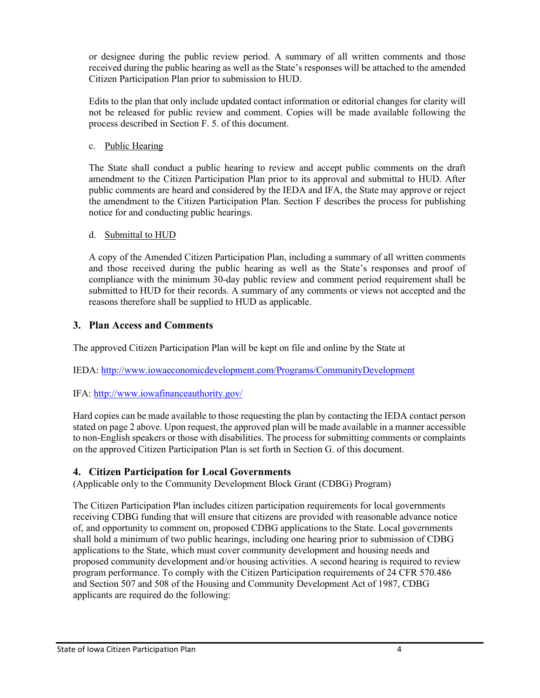or designee during the public review period. A summary of all written comments and those received during the public hearing as well as the State's responses will be attached to the amended Citizen Participation Plan prior to submission to HUD.

Edits to the plan that only include updated contact information or editorial changes for clarity will not be released for public review and comment. Copies will be made available following the process described in Section F. 5. of this document.

#### c. Public Hearing

The State shall conduct a public hearing to review and accept public comments on the draft amendment to the Citizen Participation Plan prior to its approval and submittal to HUD. After public comments are heard and considered by the IEDA and IFA, the State may approve or reject the amendment to the Citizen Participation Plan. Section F describes the process for publishing notice for and conducting public hearings.

#### d. Submittal to HUD

A copy of the Amended Citizen Participation Plan, including a summary of all written comments and those received during the public hearing as well as the State's responses and proof of compliance with the minimum 30-day public review and comment period requirement shall be submitted to HUD for their records. A summary of any comments or views not accepted and the reasons therefore shall be supplied to HUD as applicable.

## **3. Plan Access and Comments**

The approved Citizen Participation Plan will be kept on file and online by the State at

IEDA: <http://www.iowaeconomicdevelopment.com/Programs/CommunityDevelopment>

## IFA: <http://www.iowafinanceauthority.gov/>

Hard copies can be made available to those requesting the plan by contacting the IEDA contact person stated on page 2 above. Upon request, the approved plan will be made available in a manner accessible to non-English speakers or those with disabilities. The process for submitting comments or complaints on the approved Citizen Participation Plan is set forth in Section G. of this document.

## **4. Citizen Participation for Local Governments**

(Applicable only to the Community Development Block Grant (CDBG) Program)

The Citizen Participation Plan includes citizen participation requirements for local governments receiving CDBG funding that will ensure that citizens are provided with reasonable advance notice of, and opportunity to comment on, proposed CDBG applications to the State. Local governments shall hold a minimum of two public hearings, including one hearing prior to submission of CDBG applications to the State, which must cover community development and housing needs and proposed community development and/or housing activities. A second hearing is required to review program performance. To comply with the Citizen Participation requirements of 24 CFR 570.486 and Section 507 and 508 of the Housing and Community Development Act of 1987, CDBG applicants are required do the following: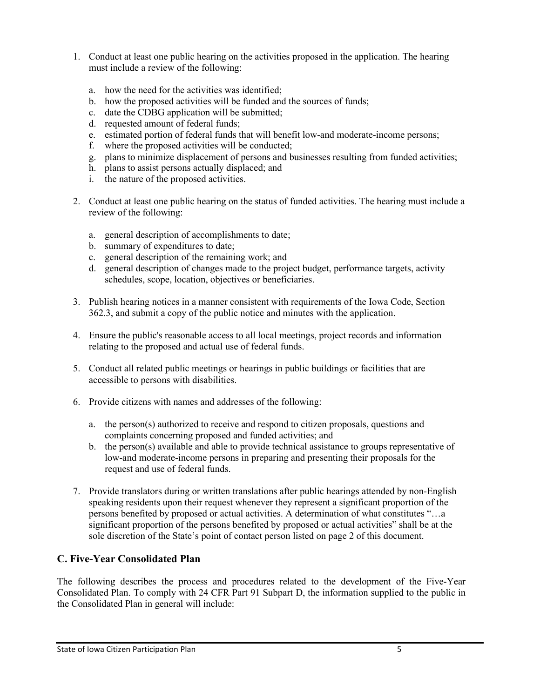- 1. Conduct at least one public hearing on the activities proposed in the application. The hearing must include a review of the following:
	- a. how the need for the activities was identified;
	- b. how the proposed activities will be funded and the sources of funds;
	- c. date the CDBG application will be submitted;
	- d. requested amount of federal funds;
	- e. estimated portion of federal funds that will benefit low-and moderate-income persons;
	- f. where the proposed activities will be conducted;
	- g. plans to minimize displacement of persons and businesses resulting from funded activities;
	- h. plans to assist persons actually displaced; and
	- i. the nature of the proposed activities.
- 2. Conduct at least one public hearing on the status of funded activities. The hearing must include a review of the following:
	- a. general description of accomplishments to date;
	- b. summary of expenditures to date;
	- c. general description of the remaining work; and
	- d. general description of changes made to the project budget, performance targets, activity schedules, scope, location, objectives or beneficiaries.
- 3. Publish hearing notices in a manner consistent with requirements of the Iowa Code, Section 362.3, and submit a copy of the public notice and minutes with the application.
- 4. Ensure the public's reasonable access to all local meetings, project records and information relating to the proposed and actual use of federal funds.
- 5. Conduct all related public meetings or hearings in public buildings or facilities that are accessible to persons with disabilities.
- 6. Provide citizens with names and addresses of the following:
	- a. the person(s) authorized to receive and respond to citizen proposals, questions and complaints concerning proposed and funded activities; and
	- b. the person(s) available and able to provide technical assistance to groups representative of low-and moderate-income persons in preparing and presenting their proposals for the request and use of federal funds.
- 7. Provide translators during or written translations after public hearings attended by non-English speaking residents upon their request whenever they represent a significant proportion of the persons benefited by proposed or actual activities. A determination of what constitutes "…a significant proportion of the persons benefited by proposed or actual activities" shall be at the sole discretion of the State's point of contact person listed on page 2 of this document.

# **C. Five-Year Consolidated Plan**

The following describes the process and procedures related to the development of the Five-Year Consolidated Plan. To comply with 24 CFR Part 91 Subpart D, the information supplied to the public in the Consolidated Plan in general will include: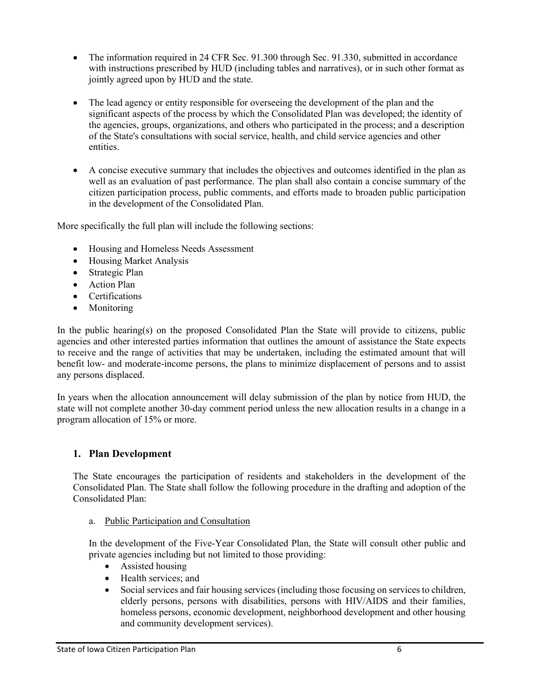- The information required in 24 CFR Sec. 91.300 through Sec. 91.330, submitted in accordance with instructions prescribed by HUD (including tables and narratives), or in such other format as jointly agreed upon by HUD and the state.
- The lead agency or entity responsible for overseeing the development of the plan and the significant aspects of the process by which the Consolidated Plan was developed; the identity of the agencies, groups, organizations, and others who participated in the process; and a description of the State's consultations with social service, health, and child service agencies and other entities.
- A concise executive summary that includes the objectives and outcomes identified in the plan as well as an evaluation of past performance. The plan shall also contain a concise summary of the citizen participation process, public comments, and efforts made to broaden public participation in the development of the Consolidated Plan.

More specifically the full plan will include the following sections:

- Housing and Homeless Needs Assessment
- Housing Market Analysis
- Strategic Plan
- Action Plan
- Certifications
- Monitoring

In the public hearing(s) on the proposed Consolidated Plan the State will provide to citizens, public agencies and other interested parties information that outlines the amount of assistance the State expects to receive and the range of activities that may be undertaken, including the estimated amount that will benefit low- and moderate-income persons, the plans to minimize displacement of persons and to assist any persons displaced.

In years when the allocation announcement will delay submission of the plan by notice from HUD, the state will not complete another 30-day comment period unless the new allocation results in a change in a program allocation of 15% or more.

## **1. Plan Development**

The State encourages the participation of residents and stakeholders in the development of the Consolidated Plan. The State shall follow the following procedure in the drafting and adoption of the Consolidated Plan:

a. Public Participation and Consultation

In the development of the Five-Year Consolidated Plan, the State will consult other public and private agencies including but not limited to those providing:

- Assisted housing
- Health services; and
- Social services and fair housing services (including those focusing on services to children, elderly persons, persons with disabilities, persons with HIV/AIDS and their families, homeless persons, economic development, neighborhood development and other housing and community development services).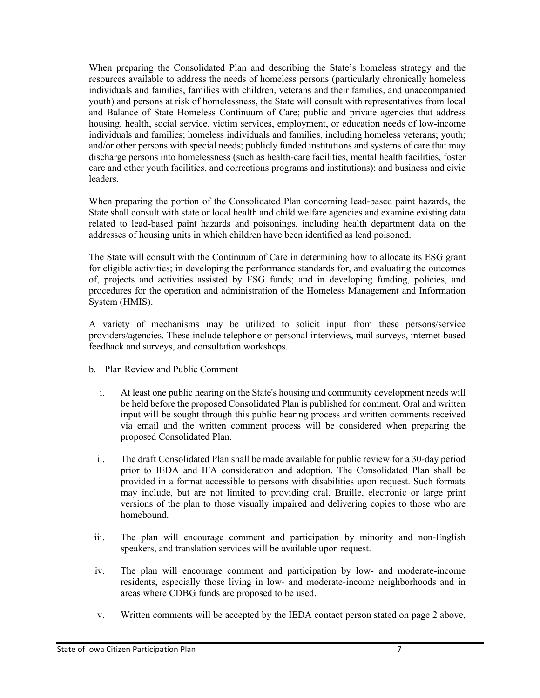When preparing the Consolidated Plan and describing the State's homeless strategy and the resources available to address the needs of homeless persons (particularly chronically homeless individuals and families, families with children, veterans and their families, and unaccompanied youth) and persons at risk of homelessness, the State will consult with representatives from local and Balance of State Homeless Continuum of Care; public and private agencies that address housing, health, social service, victim services, employment, or education needs of low-income individuals and families; homeless individuals and families, including homeless veterans; youth; and/or other persons with special needs; publicly funded institutions and systems of care that may discharge persons into homelessness (such as health-care facilities, mental health facilities, foster care and other youth facilities, and corrections programs and institutions); and business and civic leaders.

When preparing the portion of the Consolidated Plan concerning lead-based paint hazards, the State shall consult with state or local health and child welfare agencies and examine existing data related to lead-based paint hazards and poisonings, including health department data on the addresses of housing units in which children have been identified as lead poisoned.

The State will consult with the Continuum of Care in determining how to allocate its ESG grant for eligible activities; in developing the performance standards for, and evaluating the outcomes of, projects and activities assisted by ESG funds; and in developing funding, policies, and procedures for the operation and administration of the Homeless Management and Information System (HMIS).

A variety of mechanisms may be utilized to solicit input from these persons/service providers/agencies. These include telephone or personal interviews, mail surveys, internet-based feedback and surveys, and consultation workshops.

- b. Plan Review and Public Comment
	- i. At least one public hearing on the State's housing and community development needs will be held before the proposed Consolidated Plan is published for comment. Oral and written input will be sought through this public hearing process and written comments received via email and the written comment process will be considered when preparing the proposed Consolidated Plan.
	- ii. The draft Consolidated Plan shall be made available for public review for a 30-day period prior to IEDA and IFA consideration and adoption. The Consolidated Plan shall be provided in a format accessible to persons with disabilities upon request. Such formats may include, but are not limited to providing oral, Braille, electronic or large print versions of the plan to those visually impaired and delivering copies to those who are homebound.
- iii. The plan will encourage comment and participation by minority and non-English speakers, and translation services will be available upon request.
- iv. The plan will encourage comment and participation by low- and moderate-income residents, especially those living in low- and moderate-income neighborhoods and in areas where CDBG funds are proposed to be used.
- v. Written comments will be accepted by the IEDA contact person stated on page 2 above,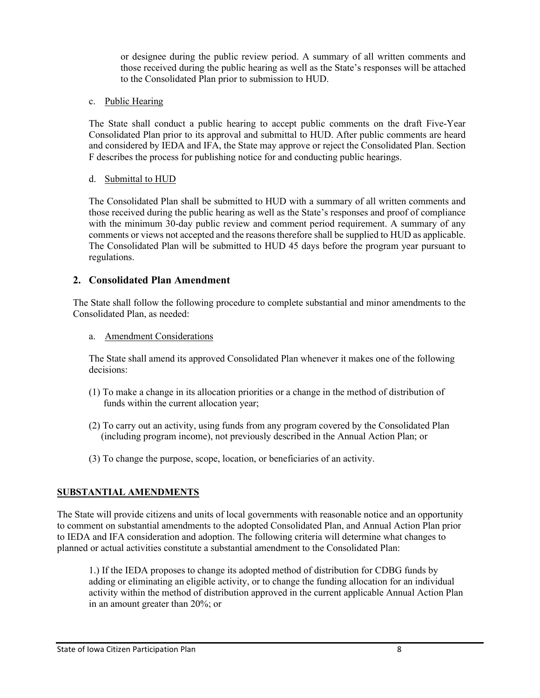or designee during the public review period. A summary of all written comments and those received during the public hearing as well as the State's responses will be attached to the Consolidated Plan prior to submission to HUD.

#### c. Public Hearing

The State shall conduct a public hearing to accept public comments on the draft Five-Year Consolidated Plan prior to its approval and submittal to HUD. After public comments are heard and considered by IEDA and IFA, the State may approve or reject the Consolidated Plan. Section F describes the process for publishing notice for and conducting public hearings.

#### d. Submittal to HUD

The Consolidated Plan shall be submitted to HUD with a summary of all written comments and those received during the public hearing as well as the State's responses and proof of compliance with the minimum 30-day public review and comment period requirement. A summary of any comments or views not accepted and the reasons therefore shall be supplied to HUD as applicable. The Consolidated Plan will be submitted to HUD 45 days before the program year pursuant to regulations.

#### **2. Consolidated Plan Amendment**

The State shall follow the following procedure to complete substantial and minor amendments to the Consolidated Plan, as needed:

a. Amendment Considerations

The State shall amend its approved Consolidated Plan whenever it makes one of the following decisions:

- (1) To make a change in its allocation priorities or a change in the method of distribution of funds within the current allocation year;
- (2) To carry out an activity, using funds from any program covered by the Consolidated Plan (including program income), not previously described in the Annual Action Plan; or
- (3) To change the purpose, scope, location, or beneficiaries of an activity.

#### **SUBSTANTIAL AMENDMENTS**

The State will provide citizens and units of local governments with reasonable notice and an opportunity to comment on substantial amendments to the adopted Consolidated Plan, and Annual Action Plan prior to IEDA and IFA consideration and adoption. The following criteria will determine what changes to planned or actual activities constitute a substantial amendment to the Consolidated Plan:

1.) If the IEDA proposes to change its adopted method of distribution for CDBG funds by adding or eliminating an eligible activity, or to change the funding allocation for an individual activity within the method of distribution approved in the current applicable Annual Action Plan in an amount greater than 20%; or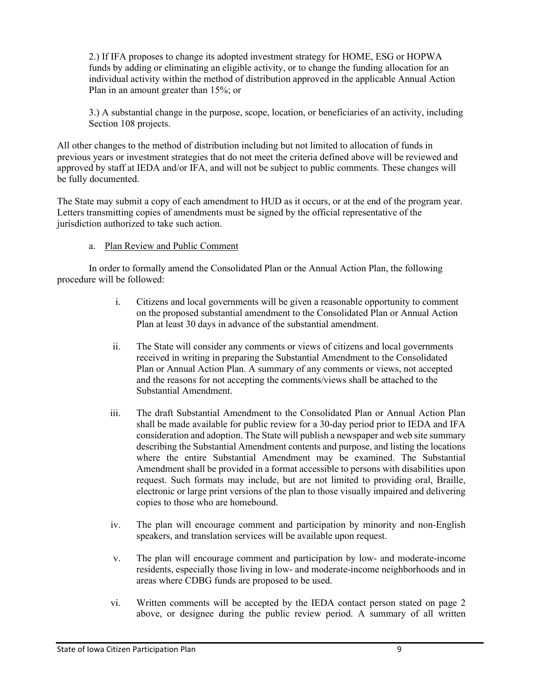2.) If IFA proposes to change its adopted investment strategy for HOME, ESG or HOPWA funds by adding or eliminating an eligible activity, or to change the funding allocation for an individual activity within the method of distribution approved in the applicable Annual Action Plan in an amount greater than 15%; or

3.) A substantial change in the purpose, scope, location, or beneficiaries of an activity, including Section 108 projects.

All other changes to the method of distribution including but not limited to allocation of funds in previous years or investment strategies that do not meet the criteria defined above will be reviewed and approved by staff at IEDA and/or IFA, and will not be subject to public comments. These changes will be fully documented.

The State may submit a copy of each amendment to HUD as it occurs, or at the end of the program year. Letters transmitting copies of amendments must be signed by the official representative of the jurisdiction authorized to take such action.

#### a. Plan Review and Public Comment

In order to formally amend the Consolidated Plan or the Annual Action Plan, the following procedure will be followed:

- i. Citizens and local governments will be given a reasonable opportunity to comment on the proposed substantial amendment to the Consolidated Plan or Annual Action Plan at least 30 days in advance of the substantial amendment.
- ii. The State will consider any comments or views of citizens and local governments received in writing in preparing the Substantial Amendment to the Consolidated Plan or Annual Action Plan. A summary of any comments or views, not accepted and the reasons for not accepting the comments/views shall be attached to the Substantial Amendment.
- iii. The draft Substantial Amendment to the Consolidated Plan or Annual Action Plan shall be made available for public review for a 30-day period prior to IEDA and IFA consideration and adoption. The State will publish a newspaper and web site summary describing the Substantial Amendment contents and purpose, and listing the locations where the entire Substantial Amendment may be examined. The Substantial Amendment shall be provided in a format accessible to persons with disabilities upon request. Such formats may include, but are not limited to providing oral, Braille, electronic or large print versions of the plan to those visually impaired and delivering copies to those who are homebound.
- iv. The plan will encourage comment and participation by minority and non-English speakers, and translation services will be available upon request.
- v. The plan will encourage comment and participation by low- and moderate-income residents, especially those living in low- and moderate-income neighborhoods and in areas where CDBG funds are proposed to be used.
- vi. Written comments will be accepted by the IEDA contact person stated on page 2 above, or designee during the public review period. A summary of all written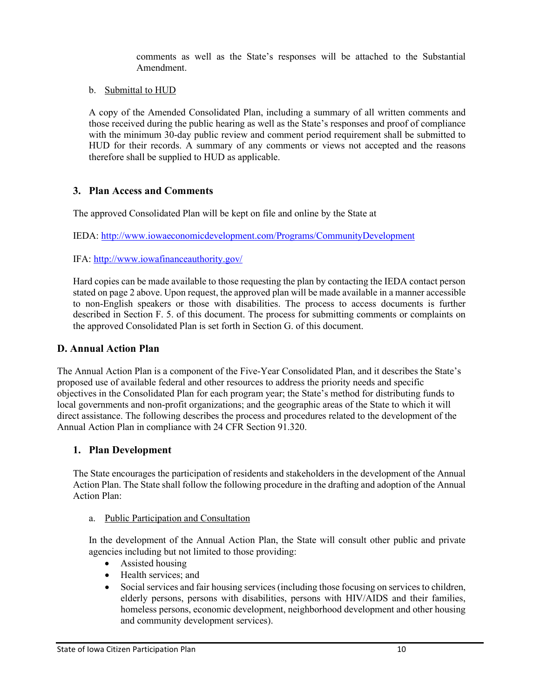comments as well as the State's responses will be attached to the Substantial Amendment.

b. Submittal to HUD

A copy of the Amended Consolidated Plan, including a summary of all written comments and those received during the public hearing as well as the State's responses and proof of compliance with the minimum 30-day public review and comment period requirement shall be submitted to HUD for their records. A summary of any comments or views not accepted and the reasons therefore shall be supplied to HUD as applicable.

# **3. Plan Access and Comments**

The approved Consolidated Plan will be kept on file and online by the State at

IEDA: <http://www.iowaeconomicdevelopment.com/Programs/CommunityDevelopment>

IFA: <http://www.iowafinanceauthority.gov/>

Hard copies can be made available to those requesting the plan by contacting the IEDA contact person stated on page 2 above. Upon request, the approved plan will be made available in a manner accessible to non-English speakers or those with disabilities. The process to access documents is further described in Section F. 5. of this document. The process for submitting comments or complaints on the approved Consolidated Plan is set forth in Section G. of this document.

# **D. Annual Action Plan**

The Annual Action Plan is a component of the Five-Year Consolidated Plan, and it describes the State's proposed use of available federal and other resources to address the priority needs and specific objectives in the Consolidated Plan for each program year; the State's method for distributing funds to local governments and non-profit organizations; and the geographic areas of the State to which it will direct assistance. The following describes the process and procedures related to the development of the Annual Action Plan in compliance with 24 CFR Section 91.320.

## **1. Plan Development**

The State encourages the participation of residents and stakeholders in the development of the Annual Action Plan. The State shall follow the following procedure in the drafting and adoption of the Annual Action Plan:

## a. Public Participation and Consultation

In the development of the Annual Action Plan, the State will consult other public and private agencies including but not limited to those providing:

- Assisted housing
- Health services: and
- Social services and fair housing services (including those focusing on services to children, elderly persons, persons with disabilities, persons with HIV/AIDS and their families, homeless persons, economic development, neighborhood development and other housing and community development services).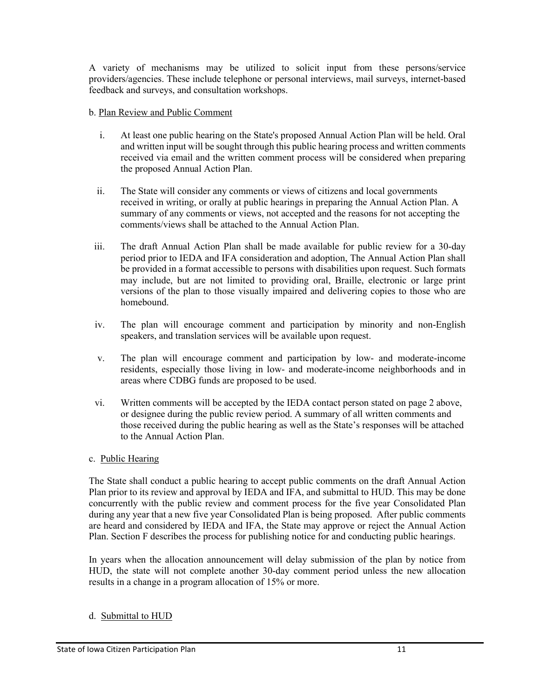A variety of mechanisms may be utilized to solicit input from these persons/service providers/agencies. These include telephone or personal interviews, mail surveys, internet-based feedback and surveys, and consultation workshops.

#### b. Plan Review and Public Comment

- i. At least one public hearing on the State's proposed Annual Action Plan will be held. Oral and written input will be sought through this public hearing process and written comments received via email and the written comment process will be considered when preparing the proposed Annual Action Plan.
- ii. The State will consider any comments or views of citizens and local governments received in writing, or orally at public hearings in preparing the Annual Action Plan. A summary of any comments or views, not accepted and the reasons for not accepting the comments/views shall be attached to the Annual Action Plan.
- iii. The draft Annual Action Plan shall be made available for public review for a 30-day period prior to IEDA and IFA consideration and adoption, The Annual Action Plan shall be provided in a format accessible to persons with disabilities upon request. Such formats may include, but are not limited to providing oral, Braille, electronic or large print versions of the plan to those visually impaired and delivering copies to those who are homebound.
- iv. The plan will encourage comment and participation by minority and non-English speakers, and translation services will be available upon request.
- v. The plan will encourage comment and participation by low- and moderate-income residents, especially those living in low- and moderate-income neighborhoods and in areas where CDBG funds are proposed to be used.
- vi. Written comments will be accepted by the IEDA contact person stated on page 2 above, or designee during the public review period. A summary of all written comments and those received during the public hearing as well as the State's responses will be attached to the Annual Action Plan.

#### c. Public Hearing

The State shall conduct a public hearing to accept public comments on the draft Annual Action Plan prior to its review and approval by IEDA and IFA, and submittal to HUD. This may be done concurrently with the public review and comment process for the five year Consolidated Plan during any year that a new five year Consolidated Plan is being proposed. After public comments are heard and considered by IEDA and IFA, the State may approve or reject the Annual Action Plan. Section F describes the process for publishing notice for and conducting public hearings.

In years when the allocation announcement will delay submission of the plan by notice from HUD, the state will not complete another 30-day comment period unless the new allocation results in a change in a program allocation of 15% or more.

#### d. Submittal to HUD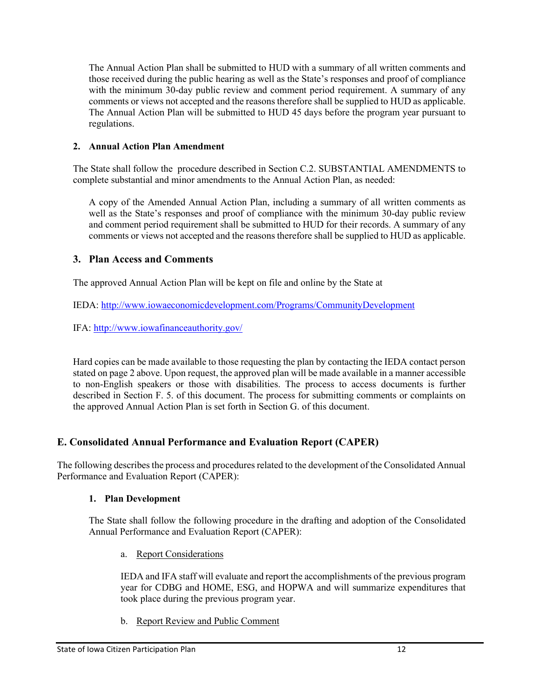The Annual Action Plan shall be submitted to HUD with a summary of all written comments and those received during the public hearing as well as the State's responses and proof of compliance with the minimum 30-day public review and comment period requirement. A summary of any comments or views not accepted and the reasons therefore shall be supplied to HUD as applicable. The Annual Action Plan will be submitted to HUD 45 days before the program year pursuant to regulations.

#### **2. Annual Action Plan Amendment**

The State shall follow the procedure described in Section C.2. SUBSTANTIAL AMENDMENTS to complete substantial and minor amendments to the Annual Action Plan, as needed:

A copy of the Amended Annual Action Plan, including a summary of all written comments as well as the State's responses and proof of compliance with the minimum 30-day public review and comment period requirement shall be submitted to HUD for their records. A summary of any comments or views not accepted and the reasons therefore shall be supplied to HUD as applicable.

## **3. Plan Access and Comments**

The approved Annual Action Plan will be kept on file and online by the State at

IEDA: <http://www.iowaeconomicdevelopment.com/Programs/CommunityDevelopment>

IFA: <http://www.iowafinanceauthority.gov/>

Hard copies can be made available to those requesting the plan by contacting the IEDA contact person stated on page 2 above. Upon request, the approved plan will be made available in a manner accessible to non-English speakers or those with disabilities. The process to access documents is further described in Section F. 5. of this document. The process for submitting comments or complaints on the approved Annual Action Plan is set forth in Section G. of this document.

# **E. Consolidated Annual Performance and Evaluation Report (CAPER)**

The following describes the process and procedures related to the development of the Consolidated Annual Performance and Evaluation Report (CAPER):

## **1. Plan Development**

The State shall follow the following procedure in the drafting and adoption of the Consolidated Annual Performance and Evaluation Report (CAPER):

a. Report Considerations

IEDA and IFA staff will evaluate and report the accomplishments of the previous program year for CDBG and HOME, ESG, and HOPWA and will summarize expenditures that took place during the previous program year.

b. Report Review and Public Comment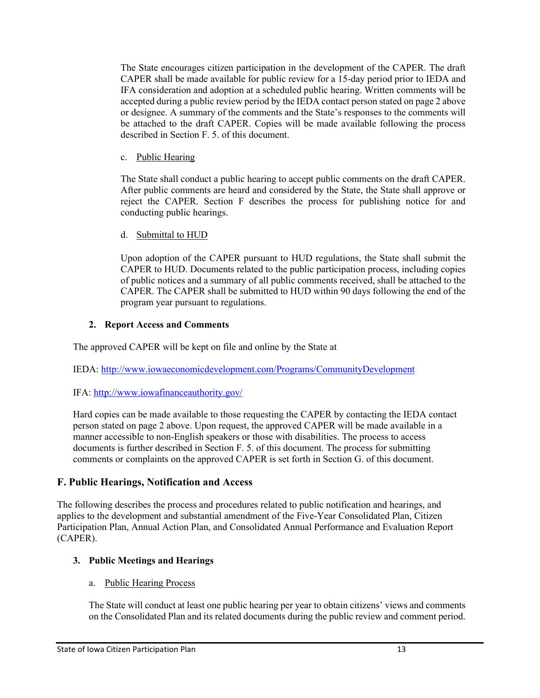The State encourages citizen participation in the development of the CAPER. The draft CAPER shall be made available for public review for a 15-day period prior to IEDA and IFA consideration and adoption at a scheduled public hearing. Written comments will be accepted during a public review period by the IEDA contact person stated on page 2 above or designee. A summary of the comments and the State's responses to the comments will be attached to the draft CAPER. Copies will be made available following the process described in Section F. 5. of this document.

c. Public Hearing

The State shall conduct a public hearing to accept public comments on the draft CAPER. After public comments are heard and considered by the State, the State shall approve or reject the CAPER. Section F describes the process for publishing notice for and conducting public hearings.

d. Submittal to HUD

Upon adoption of the CAPER pursuant to HUD regulations, the State shall submit the CAPER to HUD. Documents related to the public participation process, including copies of public notices and a summary of all public comments received, shall be attached to the CAPER. The CAPER shall be submitted to HUD within 90 days following the end of the program year pursuant to regulations.

## **2. Report Access and Comments**

The approved CAPER will be kept on file and online by the State at

IEDA: <http://www.iowaeconomicdevelopment.com/Programs/CommunityDevelopment>

# IFA: <http://www.iowafinanceauthority.gov/>

Hard copies can be made available to those requesting the CAPER by contacting the IEDA contact person stated on page 2 above. Upon request, the approved CAPER will be made available in a manner accessible to non-English speakers or those with disabilities. The process to access documents is further described in Section F. 5. of this document. The process for submitting comments or complaints on the approved CAPER is set forth in Section G. of this document.

# **F. Public Hearings, Notification and Access**

The following describes the process and procedures related to public notification and hearings, and applies to the development and substantial amendment of the Five-Year Consolidated Plan, Citizen Participation Plan, Annual Action Plan, and Consolidated Annual Performance and Evaluation Report (CAPER).

# **3. Public Meetings and Hearings**

# a. Public Hearing Process

The State will conduct at least one public hearing per year to obtain citizens' views and comments on the Consolidated Plan and its related documents during the public review and comment period.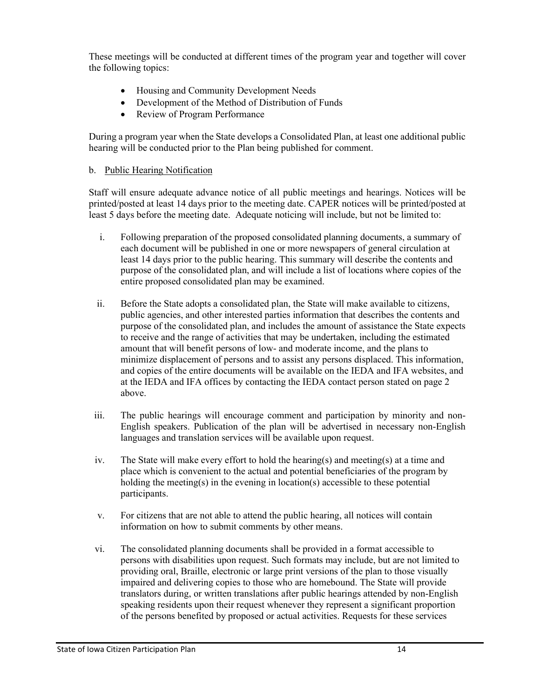These meetings will be conducted at different times of the program year and together will cover the following topics:

- Housing and Community Development Needs
- Development of the Method of Distribution of Funds
- **Review of Program Performance**

During a program year when the State develops a Consolidated Plan, at least one additional public hearing will be conducted prior to the Plan being published for comment.

#### b. Public Hearing Notification

Staff will ensure adequate advance notice of all public meetings and hearings. Notices will be printed/posted at least 14 days prior to the meeting date. CAPER notices will be printed/posted at least 5 days before the meeting date. Adequate noticing will include, but not be limited to:

- i. Following preparation of the proposed consolidated planning documents, a summary of each document will be published in one or more newspapers of general circulation at least 14 days prior to the public hearing. This summary will describe the contents and purpose of the consolidated plan, and will include a list of locations where copies of the entire proposed consolidated plan may be examined.
- ii. Before the State adopts a consolidated plan, the State will make available to citizens, public agencies, and other interested parties information that describes the contents and purpose of the consolidated plan, and includes the amount of assistance the State expects to receive and the range of activities that may be undertaken, including the estimated amount that will benefit persons of low- and moderate income, and the plans to minimize displacement of persons and to assist any persons displaced. This information, and copies of the entire documents will be available on the IEDA and IFA websites, and at the IEDA and IFA offices by contacting the IEDA contact person stated on page 2 above.
- iii. The public hearings will encourage comment and participation by minority and non-English speakers. Publication of the plan will be advertised in necessary non-English languages and translation services will be available upon request.
- iv. The State will make every effort to hold the hearing(s) and meeting(s) at a time and place which is convenient to the actual and potential beneficiaries of the program by holding the meeting(s) in the evening in location(s) accessible to these potential participants.
- v. For citizens that are not able to attend the public hearing, all notices will contain information on how to submit comments by other means.
- vi. The consolidated planning documents shall be provided in a format accessible to persons with disabilities upon request. Such formats may include, but are not limited to providing oral, Braille, electronic or large print versions of the plan to those visually impaired and delivering copies to those who are homebound. The State will provide translators during, or written translations after public hearings attended by non-English speaking residents upon their request whenever they represent a significant proportion of the persons benefited by proposed or actual activities. Requests for these services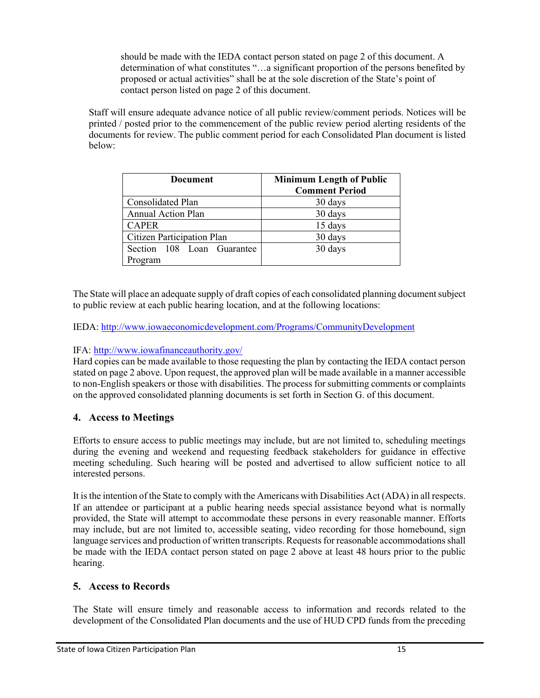should be made with the IEDA contact person stated on page 2 of this document. A determination of what constitutes "…a significant proportion of the persons benefited by proposed or actual activities" shall be at the sole discretion of the State's point of contact person listed on page 2 of this document.

Staff will ensure adequate advance notice of all public review/comment periods. Notices will be printed / posted prior to the commencement of the public review period alerting residents of the documents for review. The public comment period for each Consolidated Plan document is listed below:

| <b>Document</b>                   | <b>Minimum Length of Public</b><br><b>Comment Period</b> |
|-----------------------------------|----------------------------------------------------------|
| Consolidated Plan                 | 30 days                                                  |
| <b>Annual Action Plan</b>         | 30 days                                                  |
| <b>CAPER</b>                      | 15 days                                                  |
| <b>Citizen Participation Plan</b> | 30 days                                                  |
| Section 108 Loan Guarantee        | 30 days                                                  |
| Program                           |                                                          |

The State will place an adequate supply of draft copies of each consolidated planning document subject to public review at each public hearing location, and at the following locations:

IEDA: <http://www.iowaeconomicdevelopment.com/Programs/CommunityDevelopment>

## IFA: <http://www.iowafinanceauthority.gov/>

Hard copies can be made available to those requesting the plan by contacting the IEDA contact person stated on page 2 above. Upon request, the approved plan will be made available in a manner accessible to non-English speakers or those with disabilities. The process for submitting comments or complaints on the approved consolidated planning documents is set forth in Section G. of this document.

## **4. Access to Meetings**

Efforts to ensure access to public meetings may include, but are not limited to, scheduling meetings during the evening and weekend and requesting feedback stakeholders for guidance in effective meeting scheduling. Such hearing will be posted and advertised to allow sufficient notice to all interested persons.

It is the intention of the State to comply with the Americans with Disabilities Act (ADA) in all respects. If an attendee or participant at a public hearing needs special assistance beyond what is normally provided, the State will attempt to accommodate these persons in every reasonable manner. Efforts may include, but are not limited to, accessible seating, video recording for those homebound, sign language services and production of written transcripts. Requests for reasonable accommodations shall be made with the IEDA contact person stated on page 2 above at least 48 hours prior to the public hearing.

## **5. Access to Records**

The State will ensure timely and reasonable access to information and records related to the development of the Consolidated Plan documents and the use of HUD CPD funds from the preceding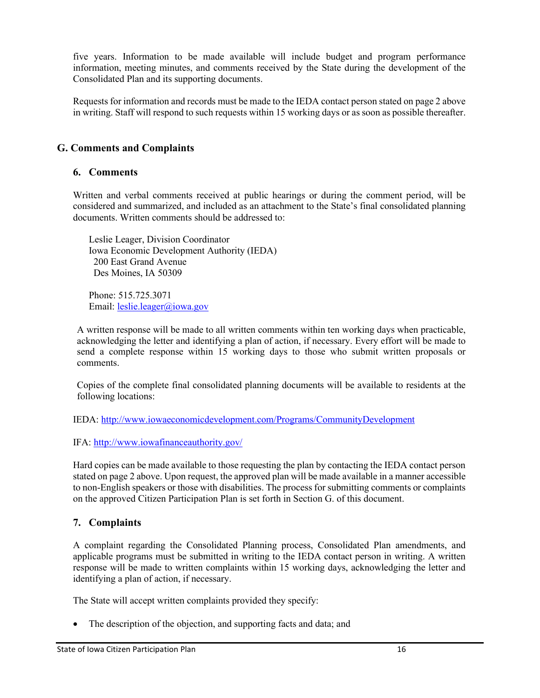five years. Information to be made available will include budget and program performance information, meeting minutes, and comments received by the State during the development of the Consolidated Plan and its supporting documents.

Requests for information and records must be made to the IEDA contact person stated on page 2 above in writing. Staff will respond to such requests within 15 working days or as soon as possible thereafter.

# **G. Comments and Complaints**

#### **6. Comments**

Written and verbal comments received at public hearings or during the comment period, will be considered and summarized, and included as an attachment to the State's final consolidated planning documents. Written comments should be addressed to:

Leslie Leager, Division Coordinator Iowa Economic Development Authority (IEDA) 200 East Grand Avenue Des Moines, IA 50309

Phone: 515.725.3071 Email: [leslie.leager@iowa.gov](mailto:leslie.leager@iowa.gov)

A written response will be made to all written comments within ten working days when practicable, acknowledging the letter and identifying a plan of action, if necessary. Every effort will be made to send a complete response within 15 working days to those who submit written proposals or comments.

Copies of the complete final consolidated planning documents will be available to residents at the following locations:

IEDA: <http://www.iowaeconomicdevelopment.com/Programs/CommunityDevelopment>

IFA: <http://www.iowafinanceauthority.gov/>

Hard copies can be made available to those requesting the plan by contacting the IEDA contact person stated on page 2 above. Upon request, the approved plan will be made available in a manner accessible to non-English speakers or those with disabilities. The process for submitting comments or complaints on the approved Citizen Participation Plan is set forth in Section G. of this document.

## **7. Complaints**

A complaint regarding the Consolidated Planning process, Consolidated Plan amendments, and applicable programs must be submitted in writing to the IEDA contact person in writing. A written response will be made to written complaints within 15 working days, acknowledging the letter and identifying a plan of action, if necessary.

The State will accept written complaints provided they specify:

• The description of the objection, and supporting facts and data; and